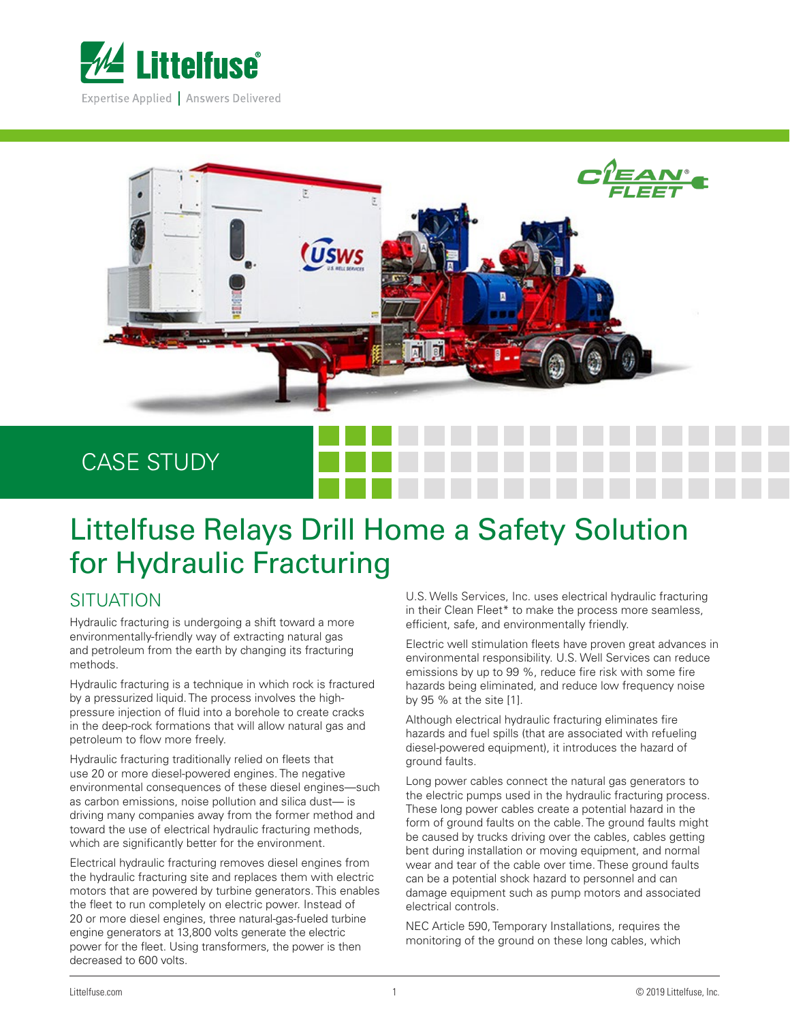



## CASE STUDY

# Littelfuse Relays Drill Home a Safety Solution for Hydraulic Fracturing

#### **SITUATION**

Hydraulic fracturing is undergoing a shift toward a more environmentally-friendly way of extracting natural gas and petroleum from the earth by changing its fracturing methods.

Hydraulic fracturing is a technique in which rock is fractured by a pressurized liquid. The process involves the highpressure injection of fluid into a borehole to create cracks in the deep-rock formations that will allow natural gas and petroleum to flow more freely.

Hydraulic fracturing traditionally relied on fleets that use 20 or more diesel-powered engines. The negative environmental consequences of these diesel engines—such as carbon emissions, noise pollution and silica dust— is driving many companies away from the former method and toward the use of electrical hydraulic fracturing methods, which are significantly better for the environment.

Electrical hydraulic fracturing removes diesel engines from the hydraulic fracturing site and replaces them with electric motors that are powered by turbine generators. This enables the fleet to run completely on electric power. Instead of 20 or more diesel engines, three natural-gas-fueled turbine engine generators at 13,800 volts generate the electric power for the fleet. Using transformers, the power is then decreased to 600 volts.

U.S. Wells Services, Inc. uses electrical hydraulic fracturing in their Clean Fleet\* to make the process more seamless, efficient, safe, and environmentally friendly.

Electric well stimulation fleets have proven great advances in environmental responsibility. U.S. Well Services can reduce emissions by up to 99 %, reduce fire risk with some fire hazards being eliminated, and reduce low frequency noise by 95 % at the site [1].

Although electrical hydraulic fracturing eliminates fire hazards and fuel spills (that are associated with refueling diesel-powered equipment), it introduces the hazard of ground faults.

Long power cables connect the natural gas generators to the electric pumps used in the hydraulic fracturing process. These long power cables create a potential hazard in the form of ground faults on the cable. The ground faults might be caused by trucks driving over the cables, cables getting bent during installation or moving equipment, and normal wear and tear of the cable over time. These ground faults can be a potential shock hazard to personnel and can damage equipment such as pump motors and associated electrical controls.

NEC Article 590, Temporary Installations, requires the monitoring of the ground on these long cables, which